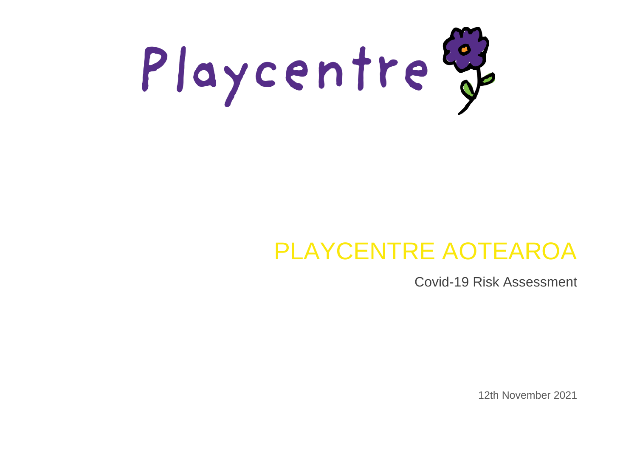

# PLAYCENTRE AOTEAROA

Covid-19 Risk Assessment

12th November 2021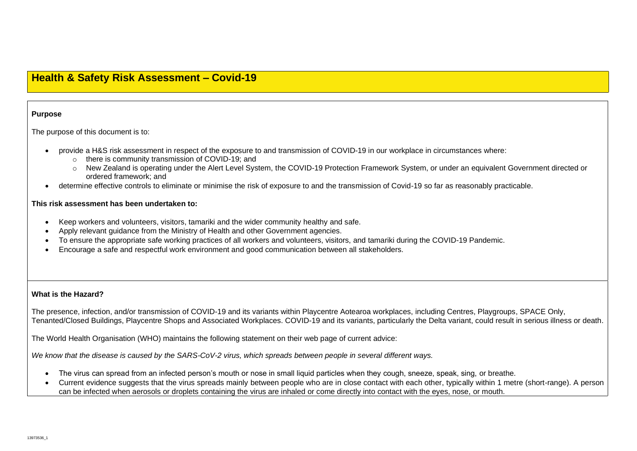# **Health & Safety Risk Assessment – Covid-19**

# **Purpose**

The purpose of this document is to:

- provide a H&S risk assessment in respect of the exposure to and transmission of COVID-19 in our workplace in circumstances where:
	- o there is community transmission of COVID-19; and
	- o New Zealand is operating under the Alert Level System, the COVID-19 Protection Framework System, or under an equivalent Government directed or ordered framework; and
	- determine effective controls to eliminate or minimise the risk of exposure to and the transmission of Covid-19 so far as reasonably practicable.

# **This risk assessment has been undertaken to:**

- Keep workers and volunteers, visitors, tamariki and the wider community healthy and safe.
- Apply relevant guidance from the Ministry of Health and other Government agencies.
- To ensure the appropriate safe working practices of all workers and volunteers, visitors, and tamariki during the COVID-19 Pandemic.
- Encourage a safe and respectful work environment and good communication between all stakeholders.

# **What is the Hazard?**

The presence, infection, and/or transmission of COVID-19 and its variants within Playcentre Aotearoa workplaces, including Centres, Playgroups, SPACE Only, Tenanted/Closed Buildings, Playcentre Shops and Associated Workplaces. COVID-19 and its variants, particularly the Delta variant, could result in serious illness or death.

The World Health Organisation (WHO) maintains the following statement on their web page of current advice:

*We know that the disease is caused by the SARS-CoV-2 virus, which spreads between people in several different ways.* 

- The virus can spread from an infected person's mouth or nose in small liquid particles when they cough, sneeze, speak, sing, or breathe.
- Current evidence suggests that the virus spreads mainly between people who are in close contact with each other, typically within 1 metre (short-range). A person can be infected when aerosols or droplets containing the virus are inhaled or come directly into contact with the eyes, nose, or mouth.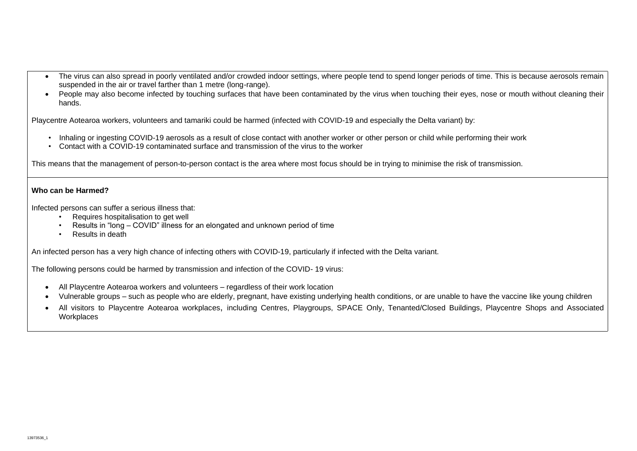- The virus can also spread in poorly ventilated and/or crowded indoor settings, where people tend to spend longer periods of time. This is because aerosols remain suspended in the air or travel farther than 1 metre (long-range).
- People may also become infected by touching surfaces that have been contaminated by the virus when touching their eyes, nose or mouth without cleaning their hands.

Playcentre Aotearoa workers, volunteers and tamariki could be harmed (infected with COVID-19 and especially the Delta variant) by:

- Inhaling or ingesting COVID-19 aerosols as a result of close contact with another worker or other person or child while performing their work
- Contact with a COVID-19 contaminated surface and transmission of the virus to the worker

This means that the management of person-to-person contact is the area where most focus should be in trying to minimise the risk of transmission.

# **Who can be Harmed?**

Infected persons can suffer a serious illness that:

- Requires hospitalisation to get well
- Results in "long COVID" illness for an elongated and unknown period of time
- Results in death

An infected person has a very high chance of infecting others with COVID-19, particularly if infected with the Delta variant.

The following persons could be harmed by transmission and infection of the COVID- 19 virus:

- All Playcentre Aotearoa workers and volunteers regardless of their work location
- Vulnerable groups such as people who are elderly, pregnant, have existing underlying health conditions, or are unable to have the vaccine like young children
- All visitors to Playcentre Aotearoa workplaces, including Centres, Playgroups, SPACE Only, Tenanted/Closed Buildings, Playcentre Shops and Associated **Workplaces**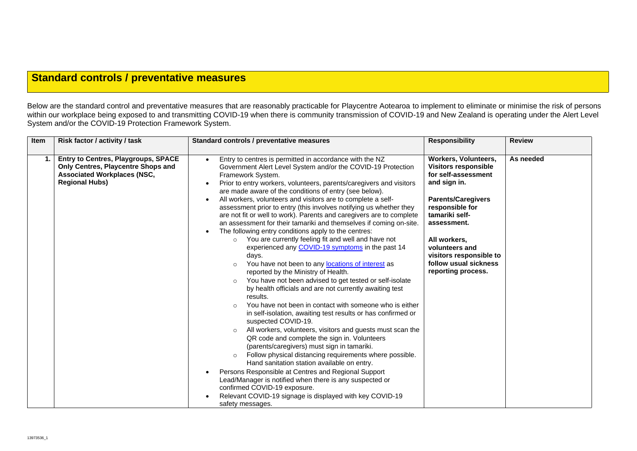# **Standard controls / preventative measures**

Below are the standard control and preventative measures that are reasonably practicable for Playcentre Aotearoa to implement to eliminate or minimise the risk of persons within our workplace being exposed to and transmitting COVID-19 when there is community transmission of COVID-19 and New Zealand is operating under the Alert Level System and/or the COVID-19 Protection Framework System.

| Item | Risk factor / activity / task                                                                                                            | Standard controls / preventative measures                                                                                                                                                                                                                                                                                                                                                                                                                                                                                                                                                                                                                                                                                                                                                                                                                                                                                                                                                                                                                                                                                                                                                                                                                                                                                                                                                                                                                                                                                                                                                                                                                               | <b>Responsibility</b>                                                                                                                                                                                                                                                                          | <b>Review</b> |
|------|------------------------------------------------------------------------------------------------------------------------------------------|-------------------------------------------------------------------------------------------------------------------------------------------------------------------------------------------------------------------------------------------------------------------------------------------------------------------------------------------------------------------------------------------------------------------------------------------------------------------------------------------------------------------------------------------------------------------------------------------------------------------------------------------------------------------------------------------------------------------------------------------------------------------------------------------------------------------------------------------------------------------------------------------------------------------------------------------------------------------------------------------------------------------------------------------------------------------------------------------------------------------------------------------------------------------------------------------------------------------------------------------------------------------------------------------------------------------------------------------------------------------------------------------------------------------------------------------------------------------------------------------------------------------------------------------------------------------------------------------------------------------------------------------------------------------------|------------------------------------------------------------------------------------------------------------------------------------------------------------------------------------------------------------------------------------------------------------------------------------------------|---------------|
| 1.   | Entry to Centres, Playgroups, SPACE<br>Only Centres, Playcentre Shops and<br><b>Associated Workplaces (NSC,</b><br><b>Regional Hubs)</b> | Entry to centres is permitted in accordance with the NZ<br>Government Alert Level System and/or the COVID-19 Protection<br>Framework System.<br>Prior to entry workers, volunteers, parents/caregivers and visitors<br>are made aware of the conditions of entry (see below).<br>All workers, volunteers and visitors are to complete a self-<br>assessment prior to entry (this involves notifying us whether they<br>are not fit or well to work). Parents and caregivers are to complete<br>an assessment for their tamariki and themselves if coming on-site.<br>The following entry conditions apply to the centres:<br>You are currently feeling fit and well and have not<br>$\circ$<br>experienced any COVID-19 symptoms in the past 14<br>days.<br>You have not been to any locations of interest as<br>reported by the Ministry of Health.<br>You have not been advised to get tested or self-isolate<br>$\circ$<br>by health officials and are not currently awaiting test<br>results.<br>You have not been in contact with someone who is either<br>in self-isolation, awaiting test results or has confirmed or<br>suspected COVID-19.<br>All workers, volunteers, visitors and guests must scan the<br>$\circ$<br>QR code and complete the sign in. Volunteers<br>(parents/caregivers) must sign in tamariki.<br>Follow physical distancing requirements where possible.<br>Hand sanitation station available on entry.<br>Persons Responsible at Centres and Regional Support<br>Lead/Manager is notified when there is any suspected or<br>confirmed COVID-19 exposure.<br>Relevant COVID-19 signage is displayed with key COVID-19<br>safety messages. | <b>Workers, Volunteers,</b><br><b>Visitors responsible</b><br>for self-assessment<br>and sign in.<br><b>Parents/Caregivers</b><br>responsible for<br>tamariki self-<br>assessment.<br>All workers,<br>volunteers and<br>visitors responsible to<br>follow usual sickness<br>reporting process. | As needed     |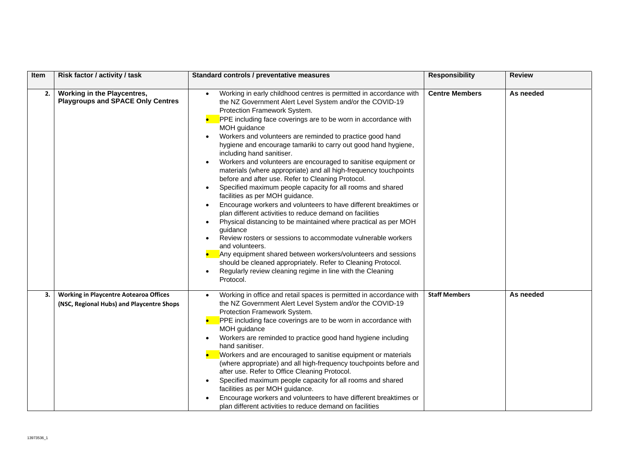| Item | Risk factor / activity / task                                                              | Standard controls / preventative measures                                                                                                                                                                                                                                                                                                                                                                                                                                                                                                                                                                                                                                                                                                                                                                                                                                                                                                                                                                                                                                                                                                                                                                             | <b>Responsibility</b> | <b>Review</b> |
|------|--------------------------------------------------------------------------------------------|-----------------------------------------------------------------------------------------------------------------------------------------------------------------------------------------------------------------------------------------------------------------------------------------------------------------------------------------------------------------------------------------------------------------------------------------------------------------------------------------------------------------------------------------------------------------------------------------------------------------------------------------------------------------------------------------------------------------------------------------------------------------------------------------------------------------------------------------------------------------------------------------------------------------------------------------------------------------------------------------------------------------------------------------------------------------------------------------------------------------------------------------------------------------------------------------------------------------------|-----------------------|---------------|
| 2.   | Working in the Playcentres,<br><b>Playgroups and SPACE Only Centres</b>                    | Working in early childhood centres is permitted in accordance with<br>the NZ Government Alert Level System and/or the COVID-19<br>Protection Framework System.<br>PPE including face coverings are to be worn in accordance with<br>MOH guidance<br>Workers and volunteers are reminded to practice good hand<br>hygiene and encourage tamariki to carry out good hand hygiene,<br>including hand sanitiser.<br>Workers and volunteers are encouraged to sanitise equipment or<br>materials (where appropriate) and all high-frequency touchpoints<br>before and after use. Refer to Cleaning Protocol.<br>Specified maximum people capacity for all rooms and shared<br>facilities as per MOH guidance.<br>Encourage workers and volunteers to have different breaktimes or<br>plan different activities to reduce demand on facilities<br>Physical distancing to be maintained where practical as per MOH<br>guidance<br>Review rosters or sessions to accommodate vulnerable workers<br>and volunteers.<br>Any equipment shared between workers/volunteers and sessions<br>should be cleaned appropriately. Refer to Cleaning Protocol.<br>Regularly review cleaning regime in line with the Cleaning<br>Protocol. | <b>Centre Members</b> | As needed     |
| 3.   | <b>Working in Playcentre Aotearoa Offices</b><br>(NSC, Regional Hubs) and Playcentre Shops | Working in office and retail spaces is permitted in accordance with<br>the NZ Government Alert Level System and/or the COVID-19<br>Protection Framework System.<br>PPE including face coverings are to be worn in accordance with<br>MOH guidance<br>Workers are reminded to practice good hand hygiene including<br>hand sanitiser.<br>Workers and are encouraged to sanitise equipment or materials<br>(where appropriate) and all high-frequency touchpoints before and<br>after use. Refer to Office Cleaning Protocol.<br>Specified maximum people capacity for all rooms and shared<br>facilities as per MOH guidance.<br>Encourage workers and volunteers to have different breaktimes or<br>plan different activities to reduce demand on facilities                                                                                                                                                                                                                                                                                                                                                                                                                                                          | <b>Staff Members</b>  | As needed     |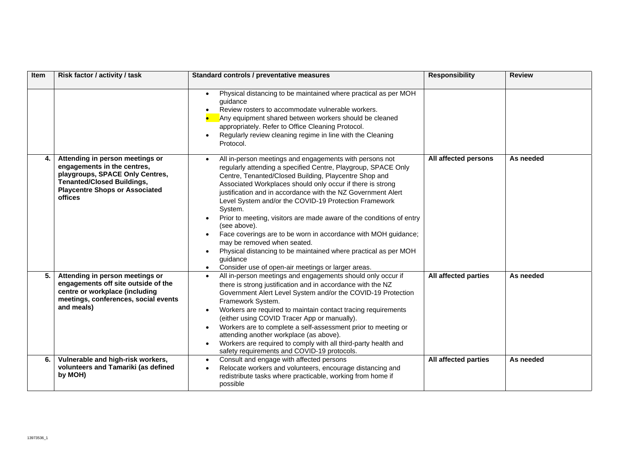| Item | Risk factor / activity / task                                                                                                                                                              | Standard controls / preventative measures                                                                                                                                                                                                                                                                                                                                                                                                                                                                                                                                                                                                                                                                                      | <b>Responsibility</b> | <b>Review</b> |
|------|--------------------------------------------------------------------------------------------------------------------------------------------------------------------------------------------|--------------------------------------------------------------------------------------------------------------------------------------------------------------------------------------------------------------------------------------------------------------------------------------------------------------------------------------------------------------------------------------------------------------------------------------------------------------------------------------------------------------------------------------------------------------------------------------------------------------------------------------------------------------------------------------------------------------------------------|-----------------------|---------------|
|      |                                                                                                                                                                                            | Physical distancing to be maintained where practical as per MOH<br>quidance<br>Review rosters to accommodate vulnerable workers.<br>$\bullet$<br>Any equipment shared between workers should be cleaned<br>appropriately. Refer to Office Cleaning Protocol.<br>Regularly review cleaning regime in line with the Cleaning<br>$\bullet$<br>Protocol.                                                                                                                                                                                                                                                                                                                                                                           |                       |               |
| 4.   | Attending in person meetings or<br>engagements in the centres,<br>playgroups, SPACE Only Centres,<br><b>Tenanted/Closed Buildings,</b><br><b>Playcentre Shops or Associated</b><br>offices | All in-person meetings and engagements with persons not<br>regularly attending a specified Centre, Playgroup, SPACE Only<br>Centre, Tenanted/Closed Building, Playcentre Shop and<br>Associated Workplaces should only occur if there is strong<br>justification and in accordance with the NZ Government Alert<br>Level System and/or the COVID-19 Protection Framework<br>System.<br>Prior to meeting, visitors are made aware of the conditions of entry<br>(see above).<br>Face coverings are to be worn in accordance with MOH guidance;<br>may be removed when seated.<br>Physical distancing to be maintained where practical as per MOH<br>guidance<br>Consider use of open-air meetings or larger areas.<br>$\bullet$ | All affected persons  | As needed     |
| 5.   | Attending in person meetings or<br>engagements off site outside of the<br>centre or workplace (including<br>meetings, conferences, social events<br>and meals)                             | All in-person meetings and engagements should only occur if<br>there is strong justification and in accordance with the NZ<br>Government Alert Level System and/or the COVID-19 Protection<br>Framework System.<br>Workers are required to maintain contact tracing requirements<br>(either using COVID Tracer App or manually).<br>Workers are to complete a self-assessment prior to meeting or<br>attending another workplace (as above).<br>Workers are required to comply with all third-party health and<br>safety requirements and COVID-19 protocols.                                                                                                                                                                  | All affected parties  | As needed     |
| 6.   | Vulnerable and high-risk workers,<br>volunteers and Tamariki (as defined<br>by MOH)                                                                                                        | Consult and engage with affected persons<br>$\bullet$<br>Relocate workers and volunteers, encourage distancing and<br>redistribute tasks where practicable, working from home if<br>possible                                                                                                                                                                                                                                                                                                                                                                                                                                                                                                                                   | All affected parties  | As needed     |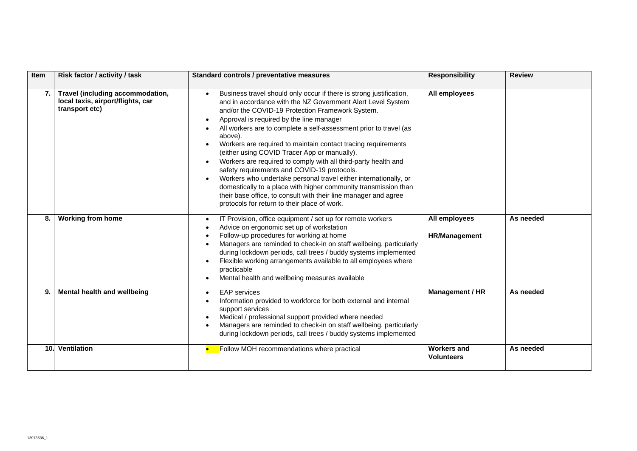| <b>Item</b> | Risk factor / activity / task                                                           | Standard controls / preventative measures                                                                                                                                                                                                                                                                                                                                                                                                                                                                                                                                                                                                                                                                                                                                                                      | <b>Responsibility</b>                   | <b>Review</b> |
|-------------|-----------------------------------------------------------------------------------------|----------------------------------------------------------------------------------------------------------------------------------------------------------------------------------------------------------------------------------------------------------------------------------------------------------------------------------------------------------------------------------------------------------------------------------------------------------------------------------------------------------------------------------------------------------------------------------------------------------------------------------------------------------------------------------------------------------------------------------------------------------------------------------------------------------------|-----------------------------------------|---------------|
| 7.          | Travel (including accommodation,<br>local taxis, airport/flights, car<br>transport etc) | Business travel should only occur if there is strong justification,<br>and in accordance with the NZ Government Alert Level System<br>and/or the COVID-19 Protection Framework System.<br>Approval is required by the line manager<br>All workers are to complete a self-assessment prior to travel (as<br>above).<br>Workers are required to maintain contact tracing requirements<br>(either using COVID Tracer App or manually).<br>Workers are required to comply with all third-party health and<br>safety requirements and COVID-19 protocols.<br>Workers who undertake personal travel either internationally, or<br>domestically to a place with higher community transmission than<br>their base office, to consult with their line manager and agree<br>protocols for return to their place of work. | All employees                           |               |
| 8.          | <b>Working from home</b>                                                                | IT Provision, office equipment / set up for remote workers<br>Advice on ergonomic set up of workstation<br>Follow-up procedures for working at home<br>Managers are reminded to check-in on staff wellbeing, particularly<br>during lockdown periods, call trees / buddy systems implemented<br>Flexible working arrangements available to all employees where<br>practicable<br>Mental health and wellbeing measures available                                                                                                                                                                                                                                                                                                                                                                                | All employees<br><b>HR/Management</b>   | As needed     |
| 9.          | Mental health and wellbeing                                                             | <b>EAP</b> services<br>Information provided to workforce for both external and internal<br>support services<br>Medical / professional support provided where needed<br>Managers are reminded to check-in on staff wellbeing, particularly<br>during lockdown periods, call trees / buddy systems implemented                                                                                                                                                                                                                                                                                                                                                                                                                                                                                                   | Management / HR                         | As needed     |
|             | 10. Ventilation                                                                         | Follow MOH recommendations where practical                                                                                                                                                                                                                                                                                                                                                                                                                                                                                                                                                                                                                                                                                                                                                                     | <b>Workers and</b><br><b>Volunteers</b> | As needed     |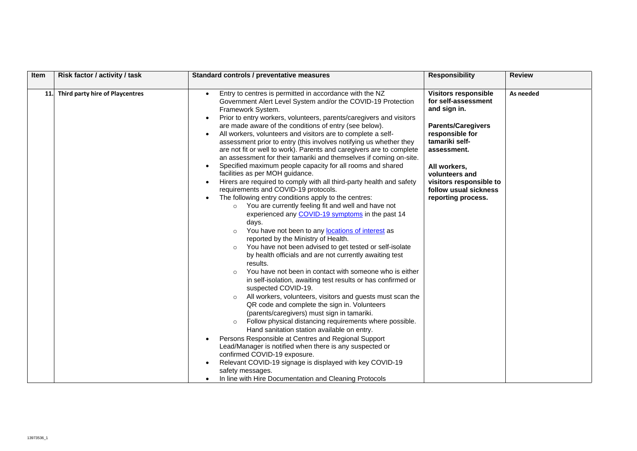| Item       | Risk factor / activity / task   | Standard controls / preventative measures                                                                                                                                                                                                                                                                                                                                                                                                                                                                                                                                                                                                                                                                                                                                                                                                                                                                                                                                                                                                                                                                                                                                                                                                                                                                                                                                                                                                                                                                                                                                                                                                                                                                                                                                                                                                                                                                                                                                                                | <b>Responsibility</b>                                                                                                                                                                                                                                           | <b>Review</b> |
|------------|---------------------------------|----------------------------------------------------------------------------------------------------------------------------------------------------------------------------------------------------------------------------------------------------------------------------------------------------------------------------------------------------------------------------------------------------------------------------------------------------------------------------------------------------------------------------------------------------------------------------------------------------------------------------------------------------------------------------------------------------------------------------------------------------------------------------------------------------------------------------------------------------------------------------------------------------------------------------------------------------------------------------------------------------------------------------------------------------------------------------------------------------------------------------------------------------------------------------------------------------------------------------------------------------------------------------------------------------------------------------------------------------------------------------------------------------------------------------------------------------------------------------------------------------------------------------------------------------------------------------------------------------------------------------------------------------------------------------------------------------------------------------------------------------------------------------------------------------------------------------------------------------------------------------------------------------------------------------------------------------------------------------------------------------------|-----------------------------------------------------------------------------------------------------------------------------------------------------------------------------------------------------------------------------------------------------------------|---------------|
| <b>11.</b> | Third party hire of Playcentres | Entry to centres is permitted in accordance with the NZ<br>$\bullet$<br>Government Alert Level System and/or the COVID-19 Protection<br>Framework System.<br>Prior to entry workers, volunteers, parents/caregivers and visitors<br>$\bullet$<br>are made aware of the conditions of entry (see below).<br>All workers, volunteers and visitors are to complete a self-<br>$\bullet$<br>assessment prior to entry (this involves notifying us whether they<br>are not fit or well to work). Parents and caregivers are to complete<br>an assessment for their tamariki and themselves if coming on-site.<br>Specified maximum people capacity for all rooms and shared<br>facilities as per MOH guidance.<br>Hirers are required to comply with all third-party health and safety<br>$\bullet$<br>requirements and COVID-19 protocols.<br>The following entry conditions apply to the centres:<br>o You are currently feeling fit and well and have not<br>experienced any COVID-19 symptoms in the past 14<br>days.<br>You have not been to any locations of interest as<br>$\circ$<br>reported by the Ministry of Health.<br>You have not been advised to get tested or self-isolate<br>$\circ$<br>by health officials and are not currently awaiting test<br>results.<br>You have not been in contact with someone who is either<br>$\circ$<br>in self-isolation, awaiting test results or has confirmed or<br>suspected COVID-19.<br>All workers, volunteers, visitors and guests must scan the<br>QR code and complete the sign in. Volunteers<br>(parents/caregivers) must sign in tamariki.<br>Follow physical distancing requirements where possible.<br>Hand sanitation station available on entry.<br>Persons Responsible at Centres and Regional Support<br>Lead/Manager is notified when there is any suspected or<br>confirmed COVID-19 exposure.<br>Relevant COVID-19 signage is displayed with key COVID-19<br>safety messages.<br>In line with Hire Documentation and Cleaning Protocols | <b>Visitors responsible</b><br>for self-assessment<br>and sign in.<br><b>Parents/Caregivers</b><br>responsible for<br>tamariki self-<br>assessment.<br>All workers,<br>volunteers and<br>visitors responsible to<br>follow usual sickness<br>reporting process. | As needed     |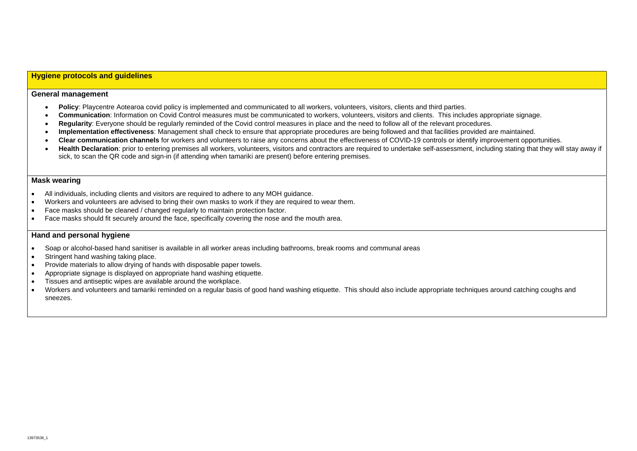# **Hygiene protocols and guidelines**

#### **General management**

- **Policy**: Playcentre Aotearoa covid policy is implemented and communicated to all workers, volunteers, visitors, clients and third parties.
- **Communication**: Information on Covid Control measures must be communicated to workers, volunteers, visitors and clients. This includes appropriate signage.
- **Regularity**: Everyone should be regularly reminded of the Covid control measures in place and the need to follow all of the relevant procedures.
- **Implementation effectiveness**: Management shall check to ensure that appropriate procedures are being followed and that facilities provided are maintained.
- **Clear communication channels** for workers and volunteers to raise any concerns about the effectiveness of COVID-19 controls or identify improvement opportunities.
- Health Declaration: prior to entering premises all workers, volunteers, visitors and contractors are required to undertake self-assessment, including stating that they will stay away if sick, to scan the QR code and sign-in (if attending when tamariki are present) before entering premises.

#### **Mask wearing**

- All individuals, including clients and visitors are required to adhere to any MOH guidance.
- Workers and volunteers are advised to bring their own masks to work if they are required to wear them.
- Face masks should be cleaned / changed regularly to maintain protection factor.
- Face masks should fit securely around the face, specifically covering the nose and the mouth area.

### **Hand and personal hygiene**

- Soap or alcohol-based hand sanitiser is available in all worker areas including bathrooms, break rooms and communal areas
- Stringent hand washing taking place.
- Provide materials to allow drying of hands with disposable paper towels.
- Appropriate signage is displayed on appropriate hand washing etiquette.
- Tissues and antiseptic wipes are available around the workplace.
- Workers and volunteers and tamariki reminded on a regular basis of good hand washing etiquette. This should also include appropriate techniques around catching coughs and sneezes.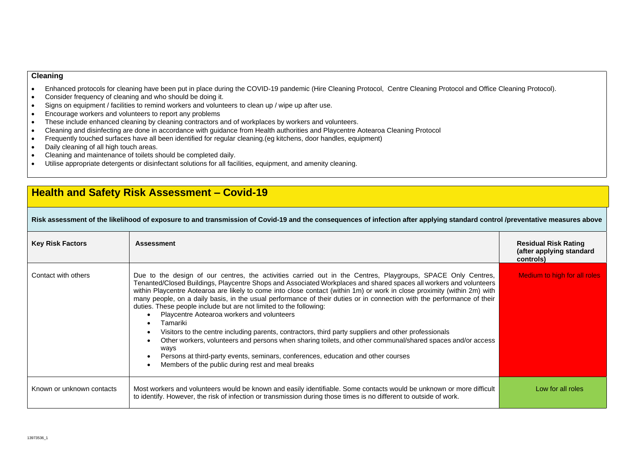## **Cleaning**

- Enhanced protocols for cleaning have been put in place during the COVID-19 pandemic (Hire Cleaning Protocol, Centre Cleaning Protocol and Office Cleaning Protocol).
- Consider frequency of cleaning and who should be doing it.
- Signs on equipment / facilities to remind workers and volunteers to clean up / wipe up after use.
- Encourage workers and volunteers to report any problems
- These include enhanced cleaning by cleaning contractors and of workplaces by workers and volunteers.
- Cleaning and disinfecting are done in accordance with guidance from Health authorities and Playcentre Aotearoa Cleaning Protocol
- Frequently touched surfaces have all been identified for regular cleaning.(eg kitchens, door handles, equipment)
- Daily cleaning of all high touch areas.
- Cleaning and maintenance of toilets should be completed daily.
- Utilise appropriate detergents or disinfectant solutions for all facilities, equipment, and amenity cleaning.

# **Health and Safety Risk Assessment – Covid-19**

# **Risk assessment of the likelihood of exposure to and transmission of Covid-19 and the consequences of infection after applying standard control /preventative measures above**

| <b>Key Risk Factors</b>   | <b>Assessment</b>                                                                                                                                                                                                                                                                                                                                                                                                                                                                                                                                                                                                                                                                                                                                                                                                                                                                                                                                                                                             | <b>Residual Risk Rating</b><br>(after applying standard<br>controls) |
|---------------------------|---------------------------------------------------------------------------------------------------------------------------------------------------------------------------------------------------------------------------------------------------------------------------------------------------------------------------------------------------------------------------------------------------------------------------------------------------------------------------------------------------------------------------------------------------------------------------------------------------------------------------------------------------------------------------------------------------------------------------------------------------------------------------------------------------------------------------------------------------------------------------------------------------------------------------------------------------------------------------------------------------------------|----------------------------------------------------------------------|
| Contact with others       | Due to the design of our centres, the activities carried out in the Centres, Playgroups, SPACE Only Centres,<br>Tenanted/Closed Buildings, Playcentre Shops and Associated Workplaces and shared spaces all workers and volunteers<br>within Playcentre Aotearoa are likely to come into close contact (within 1m) or work in close proximity (within 2m) with<br>many people, on a daily basis, in the usual performance of their duties or in connection with the performance of their<br>duties. These people include but are not limited to the following:<br>Playcentre Aotearoa workers and volunteers<br>Tamariki<br>Visitors to the centre including parents, contractors, third party suppliers and other professionals<br>$\bullet$<br>Other workers, volunteers and persons when sharing toilets, and other communal/shared spaces and/or access<br>ways<br>Persons at third-party events, seminars, conferences, education and other courses<br>Members of the public during rest and meal breaks | Medium to high for all roles                                         |
| Known or unknown contacts | Most workers and volunteers would be known and easily identifiable. Some contacts would be unknown or more difficult<br>to identify. However, the risk of infection or transmission during those times is no different to outside of work.                                                                                                                                                                                                                                                                                                                                                                                                                                                                                                                                                                                                                                                                                                                                                                    | Low for all roles                                                    |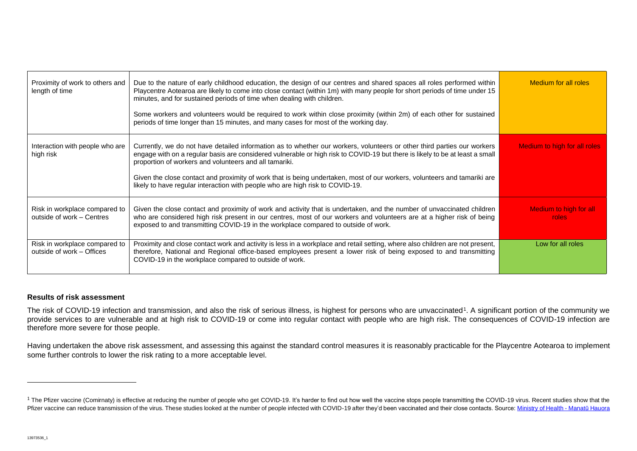| Proximity of work to others and<br>length of time          | Due to the nature of early childhood education, the design of our centres and shared spaces all roles performed within<br>Playcentre Aotearoa are likely to come into close contact (within 1m) with many people for short periods of time under 15<br>minutes, and for sustained periods of time when dealing with children.<br>Some workers and volunteers would be required to work within close proximity (within 2m) of each other for sustained<br>periods of time longer than 15 minutes, and many cases for most of the working day. | Medium for all roles            |
|------------------------------------------------------------|----------------------------------------------------------------------------------------------------------------------------------------------------------------------------------------------------------------------------------------------------------------------------------------------------------------------------------------------------------------------------------------------------------------------------------------------------------------------------------------------------------------------------------------------|---------------------------------|
| Interaction with people who are<br>high risk               | Currently, we do not have detailed information as to whether our workers, volunteers or other third parties our workers<br>engage with on a regular basis are considered vulnerable or high risk to COVID-19 but there is likely to be at least a small<br>proportion of workers and volunteers and all tamariki.<br>Given the close contact and proximity of work that is being undertaken, most of our workers, volunteers and tamariki are<br>likely to have regular interaction with people who are high risk to COVID-19.               | Medium to high for all roles    |
| Risk in workplace compared to<br>outside of work - Centres | Given the close contact and proximity of work and activity that is undertaken, and the number of unvaccinated children<br>who are considered high risk present in our centres, most of our workers and volunteers are at a higher risk of being<br>exposed to and transmitting COVID-19 in the workplace compared to outside of work.                                                                                                                                                                                                        | Medium to high for all<br>roles |
| Risk in workplace compared to<br>outside of work – Offices | Proximity and close contact work and activity is less in a workplace and retail setting, where also children are not present,<br>therefore, National and Regional office-based employees present a lower risk of being exposed to and transmitting<br>COVID-19 in the workplace compared to outside of work.                                                                                                                                                                                                                                 | Low for all roles               |

# **Results of risk assessment**

The risk of COVID-19 infection and transmission, and also the risk of serious illness, is highest for persons who are unvaccinated<sup>1</sup>. A significant portion of the community we provide services to are vulnerable and at high risk to COVID-19 or come into regular contact with people who are high risk. The consequences of COVID-19 infection are therefore more severe for those people.

Having undertaken the above risk assessment, and assessing this against the standard control measures it is reasonably practicable for the Playcentre Aotearoa to implement some further controls to lower the risk rating to a more acceptable level.

<sup>&</sup>lt;sup>1</sup> The Pfizer vaccine (Comirnaty) is effective at reducing the number of people who get COVID-19. It's harder to find out how well the vaccine stops people transmitting the COVID-19 virus. Recent studies show that the Pfizer vaccine can reduce transmission of the virus. These studies looked at the number of people infected with COVID-19 after they'd been vaccinated and their close contacts. Source[: Ministry of Health -](https://www.health.govt.nz/our-work/diseases-and-conditions/covid-19-novel-coronavirus/covid-19-vaccines/covid-19-vaccine-effectiveness-and-protection) Manatū Hauora